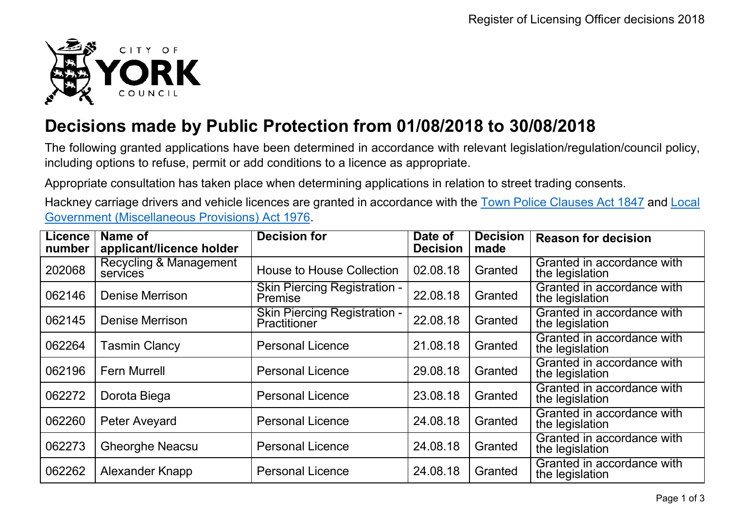

## **Decisions made by Public Protection from 01/08/2018 to 30/08/2018**

The following granted applications have been determined in accordance with relevant legislation/regulation/council policy, including options to refuse, permit or add conditions to a licence as appropriate.

Appropriate consultation has taken place when determining applications in relation to street trading consents.

Hackney carriage drivers and vehicle licences are granted in accordance with the Town Police [Clauses](http://www.legislation.gov.uk/ukpga/Vict/10-11/89) Act 1847 and [Local](http://www.legislation.gov.uk/ukpga/1976/57) [Government \(Miscellaneous Provisions\) Act 1976.](http://www.legislation.gov.uk/ukpga/1976/57)

| <b>Licence</b><br>number | Name of<br>applicant/licence holder | <b>Decision for</b>                                 | Date of<br><b>Decision</b> | <b>Decision</b><br>made | <b>Reason for decision</b>                    |
|--------------------------|-------------------------------------|-----------------------------------------------------|----------------------------|-------------------------|-----------------------------------------------|
| 202068                   | Recycling & Management<br>services  | <b>House to House Collection</b>                    | 02.08.18                   | Granted                 | Granted in accordance with<br>the legislation |
| 062146                   | <b>Denise Merrison</b>              | <b>Skin Piercing Registration -</b><br>Premise      | 22.08.18                   | Granted                 | Granted in accordance with<br>the legislation |
| 062145                   | <b>Denise Merrison</b>              | <b>Skin Piercing Registration -</b><br>Practitioner | 22.08.18                   | Granted                 | Granted in accordance with<br>the legislation |
| 062264                   | <b>Tasmin Clancy</b>                | <b>Personal Licence</b>                             | 21.08.18                   | Granted                 | Granted in accordance with<br>the legislation |
| 062196                   | <b>Fern Murrell</b>                 | <b>Personal Licence</b>                             | 29.08.18                   | Granted                 | Granted in accordance with<br>the legislation |
| 062272                   | Dorota Biega                        | <b>Personal Licence</b>                             | 23.08.18                   | Granted                 | Granted in accordance with<br>the legislation |
| 062260                   | Peter Aveyard                       | <b>Personal Licence</b>                             | 24.08.18                   | Granted                 | Granted in accordance with<br>the legislation |
| 062273                   | <b>Gheorghe Neacsu</b>              | <b>Personal Licence</b>                             | 24.08.18                   | Granted                 | Granted in accordance with<br>the legislation |
| 062262                   | Alexander Knapp                     | <b>Personal Licence</b>                             | 24.08.18                   | Granted                 | Granted in accordance with<br>the legislation |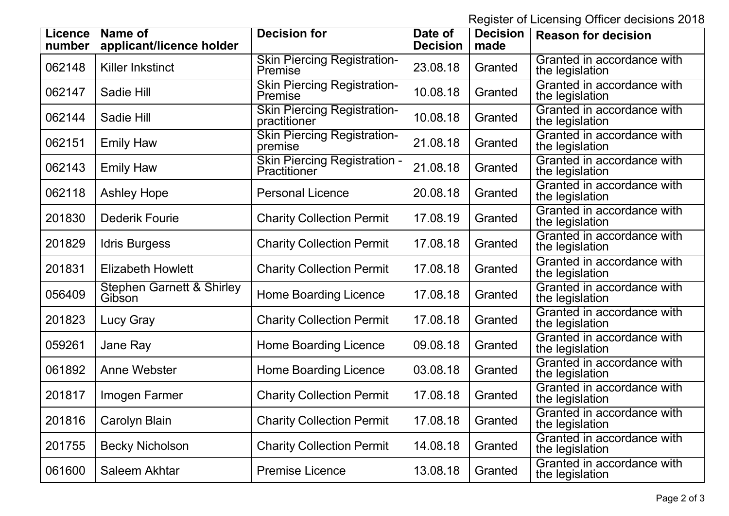Register of Licensing Officer decisions 2018

| <b>Licence</b><br>number | Name of<br>applicant/licence holder            | <b>Decision for</b>                                  | Date of<br><b>Decision</b> | <b>Decision</b><br>made | <b>Reason for decision</b>                    |
|--------------------------|------------------------------------------------|------------------------------------------------------|----------------------------|-------------------------|-----------------------------------------------|
| 062148                   | Killer Inkstinct                               | <b>Skin Piercing Registration-</b><br>Premise        | 23.08.18                   | Granted                 | Granted in accordance with<br>the legislation |
| 062147                   | Sadie Hill                                     | <b>Skin Piercing Registration-</b><br><b>Premise</b> | 10.08.18                   | Granted                 | Granted in accordance with<br>the legislation |
| 062144                   | Sadie Hill                                     | <b>Skin Piercing Registration-</b><br>practitioner   | 10.08.18                   | Granted                 | Granted in accordance with<br>the legislation |
| 062151                   | <b>Emily Haw</b>                               | <b>Skin Piercing Registration-</b><br>premise        | 21.08.18                   | Granted                 | Granted in accordance with<br>the legislation |
| 062143                   | <b>Emily Haw</b>                               | <b>Skin Piercing Registration -</b><br>Practitioner  | 21.08.18                   | Granted                 | Granted in accordance with<br>the legislation |
| 062118                   | <b>Ashley Hope</b>                             | <b>Personal Licence</b>                              | 20.08.18                   | Granted                 | Granted in accordance with<br>the legislation |
| 201830                   | <b>Dederik Fourie</b>                          | <b>Charity Collection Permit</b>                     | 17.08.19                   | Granted                 | Granted in accordance with<br>the legislation |
| 201829                   | <b>Idris Burgess</b>                           | <b>Charity Collection Permit</b>                     | 17.08.18                   | Granted                 | Granted in accordance with<br>the legislation |
| 201831                   | <b>Elizabeth Howlett</b>                       | <b>Charity Collection Permit</b>                     | 17.08.18                   | Granted                 | Granted in accordance with<br>the legislation |
| 056409                   | <b>Stephen Garnett &amp; Shirley</b><br>Gibson | <b>Home Boarding Licence</b>                         | 17.08.18                   | Granted                 | Granted in accordance with<br>the legislation |
| 201823                   | Lucy Gray                                      | <b>Charity Collection Permit</b>                     | 17.08.18                   | Granted                 | Granted in accordance with<br>the legislation |
| 059261                   | Jane Ray                                       | <b>Home Boarding Licence</b>                         | 09.08.18                   | Granted                 | Granted in accordance with<br>the legislation |
| 061892                   | <b>Anne Webster</b>                            | <b>Home Boarding Licence</b>                         | 03.08.18                   | Granted                 | Granted in accordance with<br>the legislation |
| 201817                   | Imogen Farmer                                  | <b>Charity Collection Permit</b>                     | 17.08.18                   | Granted                 | Granted in accordance with<br>the legislation |
| 201816                   | Carolyn Blain                                  | <b>Charity Collection Permit</b>                     | 17.08.18                   | Granted                 | Granted in accordance with<br>the legislation |
| 201755                   | <b>Becky Nicholson</b>                         | <b>Charity Collection Permit</b>                     | 14.08.18                   | Granted                 | Granted in accordance with<br>the legislation |
| 061600                   | Saleem Akhtar                                  | <b>Premise Licence</b>                               | 13.08.18                   | Granted                 | Granted in accordance with<br>the legislation |